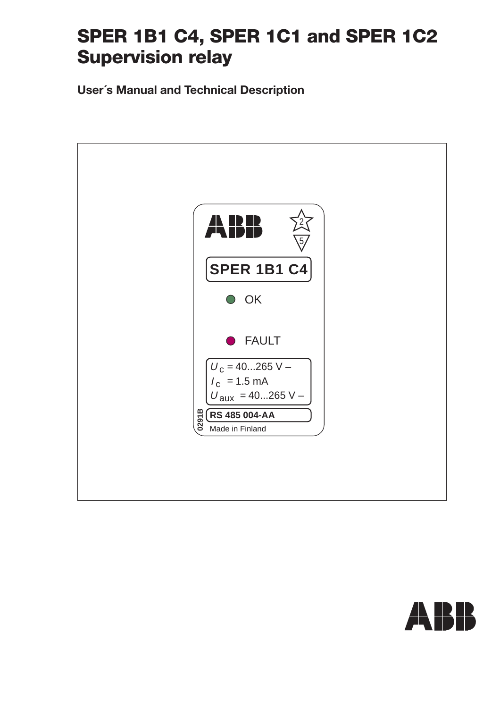## **SPER 1B1 C4, SPER 1C1 and SPER 1C2 Supervision relay**

**User´s Manual and Technical Description**



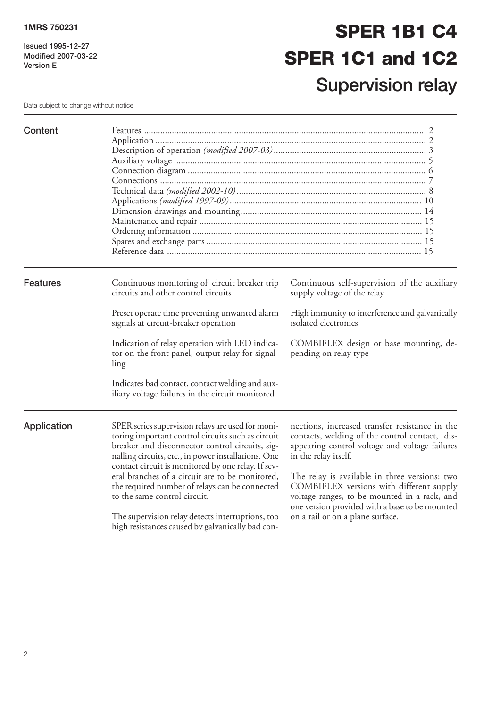**Issued 1995-12-27 Modified 2007-03-22 Version E**

# **SPER 1B1 C4 SPER 1C1 and 1C2 Supervision relay**

Data subject to change without notice

| Content         |                                                                                                                                                                                                                                                                                                                                                                                                             |                                                                                                                                                                                                                                                                                                                         |  |  |
|-----------------|-------------------------------------------------------------------------------------------------------------------------------------------------------------------------------------------------------------------------------------------------------------------------------------------------------------------------------------------------------------------------------------------------------------|-------------------------------------------------------------------------------------------------------------------------------------------------------------------------------------------------------------------------------------------------------------------------------------------------------------------------|--|--|
| <b>Features</b> | Continuous monitoring of circuit breaker trip<br>circuits and other control circuits                                                                                                                                                                                                                                                                                                                        | Continuous self-supervision of the auxiliary<br>supply voltage of the relay                                                                                                                                                                                                                                             |  |  |
|                 | Preset operate time preventing unwanted alarm<br>signals at circuit-breaker operation                                                                                                                                                                                                                                                                                                                       | High immunity to interference and galvanically<br>isolated electronics                                                                                                                                                                                                                                                  |  |  |
|                 | Indication of relay operation with LED indica-<br>tor on the front panel, output relay for signal-<br>ling                                                                                                                                                                                                                                                                                                  | COMBIFLEX design or base mounting, de-<br>pending on relay type                                                                                                                                                                                                                                                         |  |  |
|                 | Indicates bad contact, contact welding and aux-<br>iliary voltage failures in the circuit monitored                                                                                                                                                                                                                                                                                                         |                                                                                                                                                                                                                                                                                                                         |  |  |
| Application     | SPER series supervision relays are used for moni-<br>toring important control circuits such as circuit<br>breaker and disconnector control circuits, sig-<br>nalling circuits, etc., in power installations. One<br>contact circuit is monitored by one relay. If sev-<br>eral branches of a circuit are to be monitored,<br>the required number of relays can be connected<br>to the same control circuit. | nections, increased transfer resistance in the<br>contacts, welding of the control contact, dis-<br>appearing control voltage and voltage failures<br>in the relay itself.<br>The relay is available in three versions: two<br>COMBIFLEX versions with different supply<br>voltage ranges, to be mounted in a rack, and |  |  |
|                 | The supervision relay detects interruptions, too<br>high resistances caused by galvanically bad con-                                                                                                                                                                                                                                                                                                        | one version provided with a base to be mounted<br>on a rail or on a plane surface.                                                                                                                                                                                                                                      |  |  |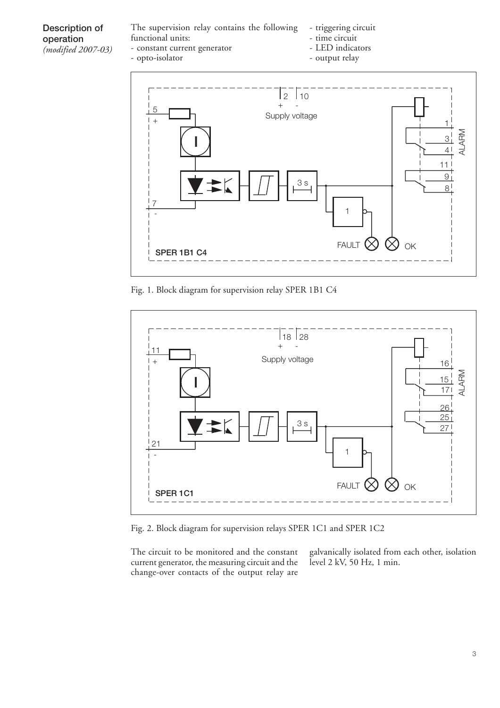#### **Description of operation** *(modified 2007-03)*

The supervision relay contains the following functional units: - constant current generator

- opto-isolator

- triggering circuit
	- time circuit
- LED indicators - output relay
- 



Fig. 1. Block diagram for supervision relay SPER 1B1 C4



Fig. 2. Block diagram for supervision relays SPER 1C1 and SPER 1C2

The circuit to be monitored and the constant current generator, the measuring circuit and the change-over contacts of the output relay are

galvanically isolated from each other, isolation level 2 kV, 50 Hz, 1 min.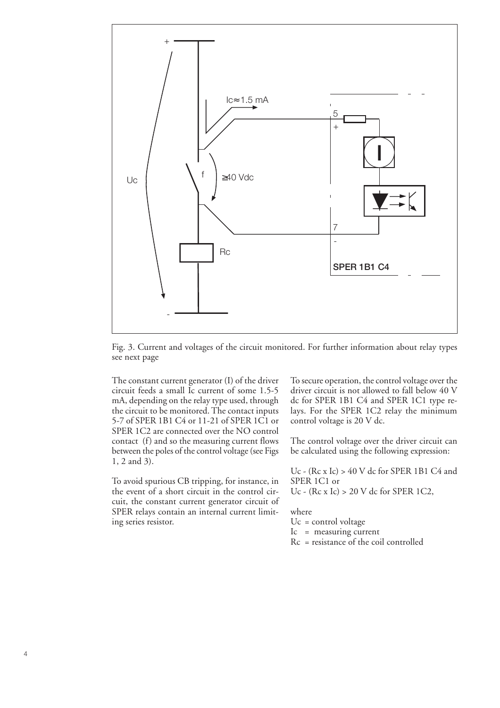

Fig. 3. Current and voltages of the circuit monitored. For further information about relay types see next page

The constant current generator (I) of the driver circuit feeds a small Ic current of some 1.5-5 mA, depending on the relay type used, through the circuit to be monitored. The contact inputs 5-7 of SPER 1B1 C4 or 11-21 of SPER 1C1 or SPER 1C2 are connected over the NO control contact (f) and so the measuring current flows between the poles of the control voltage (see Figs 1, 2 and 3).

To avoid spurious CB tripping, for instance, in the event of a short circuit in the control circuit, the constant current generator circuit of SPER relays contain an internal current limiting series resistor.

To secure operation, the control voltage over the driver circuit is not allowed to fall below 40 V dc for SPER 1B1 C4 and SPER 1C1 type relays. For the SPER 1C2 relay the minimum control voltage is 20 V dc.

The control voltage over the driver circuit can be calculated using the following expression:

Uc - (Rc x Ic) > 40 V dc for SPER 1B1 C4 and SPER 1C1 or Uc - (Rc x Ic) > 20 V dc for SPER 1C2,

where

Uc = control voltage

- Ic = measuring current
- Rc = resistance of the coil controlled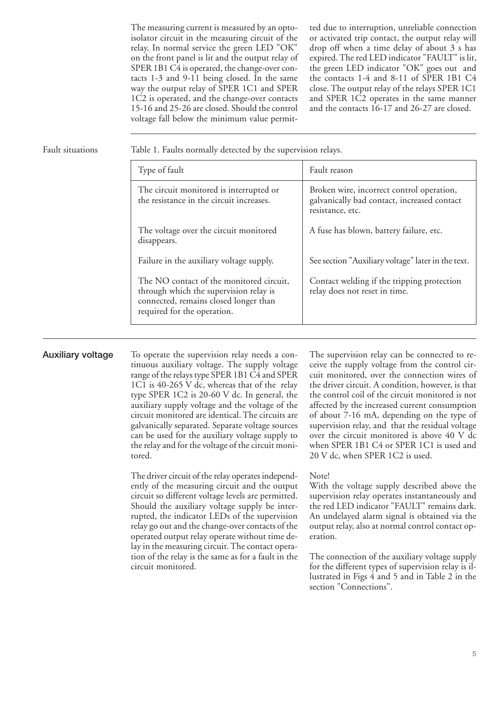The measuring current is measured by an optoisolator circuit in the measuring circuit of the relay. In normal service the green LED "OK" on the front panel is lit and the output relay of SPER 1B1 C4 is operated, the change-over contacts 1-3 and 9-11 being closed. In the same way the output relay of SPER 1C1 and SPER 1C2 is operated, and the change-over contacts 15-16 and 25-26 are closed. Should the control voltage fall below the minimum value permitted due to interruption, unreliable connection or activated trip contact, the output relay will drop off when a time delay of about 3 s has expired. The red LED indicator "FAULT" is lit, the green LED indicator "OK" goes out and the contacts 1-4 and 8-11 of SPER 1B1 C4 close. The output relay of the relays SPER 1C1 and SPER 1C2 operates in the same manner and the contacts 16-17 and 26-27 are closed.

Fault situations Table 1. Faults normally detected by the supervision relays.

| Type of fault                                                                                                                                              | Fault reason                                                                                                 |
|------------------------------------------------------------------------------------------------------------------------------------------------------------|--------------------------------------------------------------------------------------------------------------|
| The circuit monitored is interrupted or<br>the resistance in the circuit increases.                                                                        | Broken wire, incorrect control operation,<br>galvanically bad contact, increased contact<br>resistance, etc. |
| The voltage over the circuit monitored<br>disappears.                                                                                                      | A fuse has blown, battery failure, etc.                                                                      |
| Failure in the auxiliary voltage supply.                                                                                                                   | See section "Auxiliary voltage" later in the text.                                                           |
| The NO contact of the monitored circuit,<br>through which the supervision relay is<br>connected, remains closed longer than<br>required for the operation. | Contact welding if the tripping protection<br>relay does not reset in time.                                  |

**Auxiliary voltage** To operate the supervision relay needs a continuous auxiliary voltage. The supply voltage range of the relays type SPER 1B1 C4 and SPER 1C1 is 40-265 V dc, whereas that of the relay type SPER 1C2 is 20-60 V dc. In general, the auxiliary supply voltage and the voltage of the circuit monitored are identical. The circuits are galvanically separated. Separate voltage sources can be used for the auxiliary voltage supply to the relay and for the voltage of the circuit monitored.

> The driver circuit of the relay operates independently of the measuring circuit and the output circuit so different voltage levels are permitted. Should the auxiliary voltage supply be interrupted, the indicator LEDs of the supervision relay go out and the change-over contacts of the operated output relay operate without time delay in the measuring circuit. The contact operation of the relay is the same as for a fault in the circuit monitored.

The supervision relay can be connected to receive the supply voltage from the control circuit monitored, over the connection wires of the driver circuit. A condition, however, is that the control coil of the circuit monitored is not affected by the increased current consumption of about 7-16 mA, depending on the type of supervision relay, and that the residual voltage over the circuit monitored is above 40 V dc when SPER 1B1 C4 or SPER 1C1 is used and 20 V dc, when SPER 1C2 is used.

#### Note!

With the voltage supply described above the supervision relay operates instantaneously and the red LED indicator "FAULT" remains dark. An undelayed alarm signal is obtained via the output relay, also at normal control contact operation.

The connection of the auxiliary voltage supply for the different types of supervision relay is illustrated in Figs 4 and 5 and in Table 2 in the section "Connections".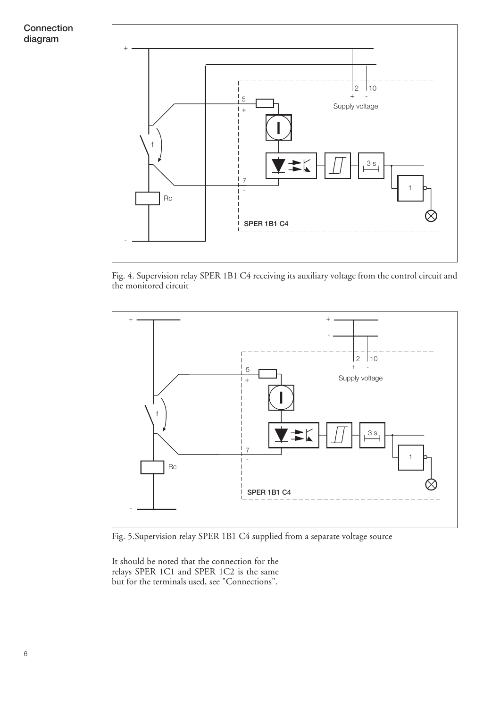**Connection diagram**



Fig. 4. Supervision relay SPER 1B1 C4 receiving its auxiliary voltage from the control circuit and the monitored circuit



Fig. 5.Supervision relay SPER 1B1 C4 supplied from a separate voltage source

It should be noted that the connection for the relays SPER 1C1 and SPER 1C2 is the same but for the terminals used, see "Connections".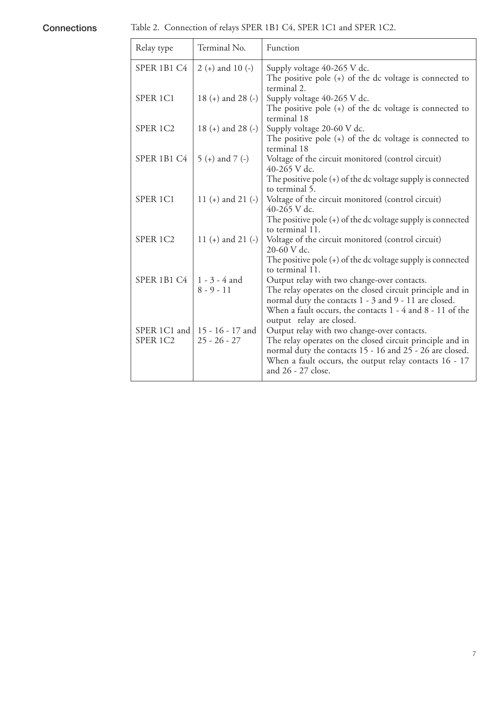**Connections** Table 2. Connection of relays SPER 1B1 C4, SPER 1C1 and SPER 1C2.

| Relay type               | Terminal No.                       | Function                                                                                                                                                                                                                                                                                                           |
|--------------------------|------------------------------------|--------------------------------------------------------------------------------------------------------------------------------------------------------------------------------------------------------------------------------------------------------------------------------------------------------------------|
| SPER 1B1 C4              | $2 (+)$ and 10 $(-)$               | Supply voltage 40-265 V dc.<br>The positive pole $(+)$ of the dc voltage is connected to<br>terminal 2.                                                                                                                                                                                                            |
| SPER 1C1                 | 18 (+) and 28 (-)                  | Supply voltage 40-265 V dc.<br>The positive pole $(+)$ of the dc voltage is connected to                                                                                                                                                                                                                           |
| SPER 1C2                 | 18 (+) and 28 (-)                  | terminal 18<br>Supply voltage 20-60 V dc.<br>The positive pole $(+)$ of the dc voltage is connected to                                                                                                                                                                                                             |
| SPER 1B1 C4              | $5 (+)$ and $7 (-)$                | terminal 18<br>Voltage of the circuit monitored (control circuit)<br>40-265 V dc.                                                                                                                                                                                                                                  |
| SPER <sub>1C1</sub>      | 11 (+) and 21 (-)                  | The positive pole $(+)$ of the dc voltage supply is connected<br>to terminal 5.<br>Voltage of the circuit monitored (control circuit)<br>40-265 V dc.                                                                                                                                                              |
| SPER 1C2                 | 11 (+) and 21 (-)                  | The positive pole $(+)$ of the dc voltage supply is connected<br>to terminal 11.<br>Voltage of the circuit monitored (control circuit)<br>$20-60$ V dc.                                                                                                                                                            |
| SPER 1B1 C4              | 1 - 3 - 4 and<br>$8 - 9 - 11$      | The positive pole $(+)$ of the dc voltage supply is connected<br>to terminal 11.<br>Output relay with two change-over contacts.<br>The relay operates on the closed circuit principle and in<br>normal duty the contacts 1 - 3 and 9 - 11 are closed.<br>When a fault occurs, the contacts 1 - 4 and 8 - 11 of the |
| SPER 1C1 and<br>SPER 1C2 | 15 - 16 - 17 and<br>$25 - 26 - 27$ | output relay are closed.<br>Output relay with two change-over contacts.<br>The relay operates on the closed circuit principle and in<br>normal duty the contacts 15 - 16 and 25 - 26 are closed.<br>When a fault occurs, the output relay contacts 16 - 17<br>and 26 - 27 close.                                   |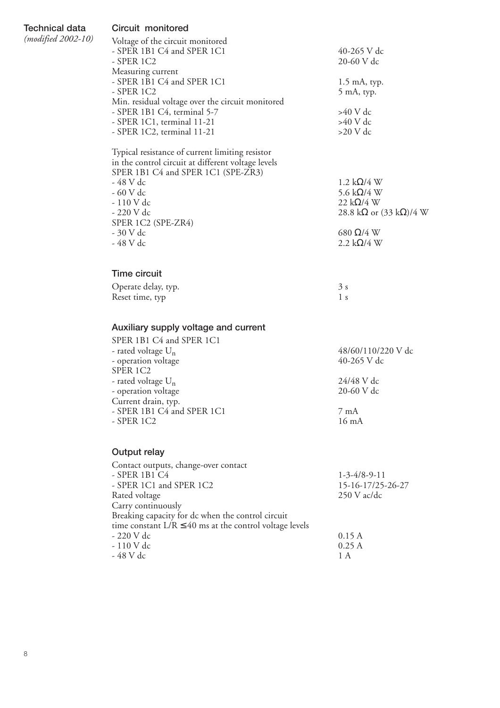**Technical data** *(modified 2002-10)*

#### **Circuit monitored**

| Voltage of the circuit monitored                 |                |
|--------------------------------------------------|----------------|
| - SPER 1B1 C4 and SPER 1C1                       | 40-265 V dc    |
| - SPER 1C2                                       | 20-60 V dc     |
| Measuring current                                |                |
| - SPER 1B1 C4 and SPER 1C1                       | $1.5$ mA, typ. |
| - SPER 1C2                                       | 5 mA, typ.     |
| Min. residual voltage over the circuit monitored |                |
| - SPER 1B1 C4, terminal 5-7                      | $>40$ V dc     |
| - SPER 1C1, terminal 11-21                       | $>40$ V dc     |
| - SPER 1C2, terminal 11-21                       | $>20$ V dc     |
|                                                  |                |

Typical resistance of current limiting resistor in the control circuit at different voltage levels SPER 1B1 C4 and SPER 1C1 (SPE-ZR3)<br>- 48 V dc  $-48$  V dc<br>  $-60$  V dc<br>  $-60$  V dc<br>  $-60$  V dc - 110 V dc<br>- 220 V dc SPER 1C2 (SPE-ZR4)<br>- 30 V dc  $-30$  V dc<br>  $-48$  V dc<br>  $-48$  V dc<br>  $2.2$  kΩ/4 W

# 2.2 k $\Omega/4$  W

5.6 kΩ/4 W<br>22 kΩ/4 W

28.8 k $\Omega$  or (33 k $\Omega$ )/4 W

### **Time circuit**

| Operate delay, typ. | 3s  |
|---------------------|-----|
| Reset time, typ     | l s |

### **Auxiliary supply voltage and current**

| SPER 1B1 C4 and SPER 1C1       |                    |
|--------------------------------|--------------------|
| - rated voltage U <sub>n</sub> | 48/60/110/220 V dc |
| - operation voltage            | 40-265 V dc        |
| SPER 1C2                       |                    |
| - rated voltage U <sub>n</sub> | 24/48 V dc         |
| - operation voltage            | 20-60 V dc         |
| Current drain, typ.            |                    |
| - SPER 1B1 C4 and SPER 1C1     | $7 \text{ mA}$     |
| $-$ SPER 1C2                   | $16 \text{ mA}$    |
|                                |                    |

### **Output relay**

| Contact outputs, change-over contact                        |                        |
|-------------------------------------------------------------|------------------------|
| - SPER 1B1 C4                                               | $1 - 3 - 4/8 - 9 - 11$ |
| - SPER 1C1 and SPER 1C2                                     | 15-16-17/25-26-27      |
| Rated voltage                                               | $250$ V ac/dc          |
| Carry continuously                                          |                        |
| Breaking capacity for dc when the control circuit           |                        |
| time constant $L/R \le 40$ ms at the control voltage levels |                        |
| - 220 V dc                                                  | 0.15A                  |
| - 110 V dc                                                  | 0.25A                  |
| - 48 V dc                                                   | 1 A                    |
|                                                             |                        |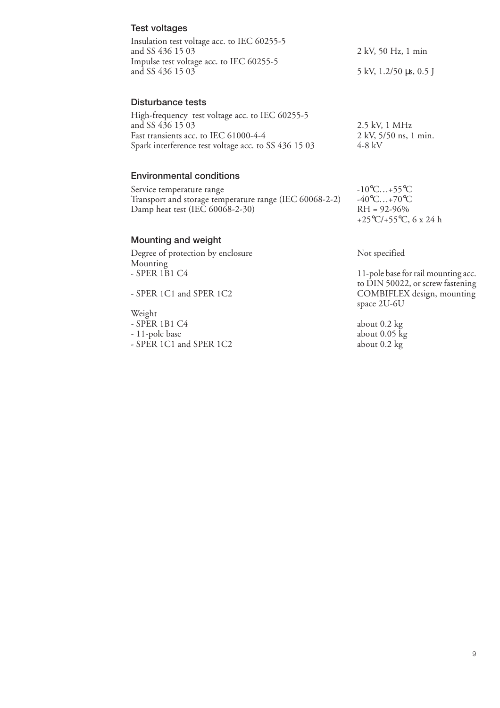| <b>Test voltages</b>                                                                                                                                                 |                                                                                                              |  |  |
|----------------------------------------------------------------------------------------------------------------------------------------------------------------------|--------------------------------------------------------------------------------------------------------------|--|--|
| Insulation test voltage acc. to IEC 60255-5<br>and SS 436 15 03                                                                                                      | 2 kV, 50 Hz, 1 min                                                                                           |  |  |
| Impulse test voltage acc. to IEC 60255-5<br>and SS 436 15 03                                                                                                         | 5 kV, 1.2/50 μs, 0.5 J                                                                                       |  |  |
| Disturbance tests                                                                                                                                                    |                                                                                                              |  |  |
| High-frequency test voltage acc. to IEC 60255-5<br>and SS 436 15 03<br>Fast transients acc. to IEC 61000-4-4<br>Spark interference test voltage acc. to SS 436 15 03 | 2.5 kV, 1 MHz<br>2 kV, 5/50 ns, 1 min.<br>$4-8$ kV                                                           |  |  |
| <b>Environmental conditions</b>                                                                                                                                      |                                                                                                              |  |  |
| Service temperature range<br>Transport and storage temperature range (IEC 60068-2-2)<br>Damp heat test (IEC 60068-2-30)                                              | $-10^{\circ}$ C+55 $^{\circ}$ C<br>$-40^{\circ}$ C+70 $^{\circ}$ C<br>$RH = 92-96%$<br>+25°C/+55°C, 6 x 24 h |  |  |
| <b>Mounting and weight</b>                                                                                                                                           |                                                                                                              |  |  |
| Degree of protection by enclosure<br>Mounting                                                                                                                        | Not specified                                                                                                |  |  |
| - SPER 1B1 C4                                                                                                                                                        | 11-pole base for rail mounting acc.<br>to DIN 50022, or screw fastening                                      |  |  |
| - SPER 1C1 and SPER 1C2                                                                                                                                              | COMBIFLEX design, mounting<br>space 2U-6U                                                                    |  |  |
| Weight                                                                                                                                                               |                                                                                                              |  |  |
| - SPER 1B1 C4                                                                                                                                                        | about $0.2 \text{ kg}$                                                                                       |  |  |
| - 11-pole base                                                                                                                                                       | about $0.05 \text{ kg}$                                                                                      |  |  |

- SPER 1C1 and SPER 1C2 about 0.2 kg

9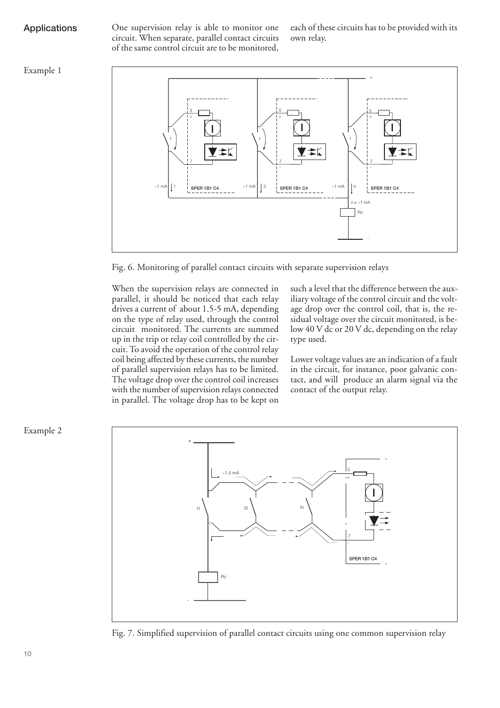**Applications** One supervision relay is able to monitor one circuit. When separate, parallel contact circuits of the same control circuit are to be monitored,

each of these circuits has to be provided with its own relay.

#### Example 1



Fig. 6. Monitoring of parallel contact circuits with separate supervision relays

When the supervision relays are connected in parallel, it should be noticed that each relay drives a current of about 1.5-5 mA, depending on the type of relay used, through the control circuit monitored. The currents are summed up in the trip or relay coil controlled by the circuit. To avoid the operation of the control relay coil being affected by these currents, the number of parallel supervision relays has to be limited. The voltage drop over the control coil increases with the number of supervision relays connected in parallel. The voltage drop has to be kept on

such a level that the difference between the auxiliary voltage of the control circuit and the voltage drop over the control coil, that is, the residual voltage over the circuit monitored, is below 40 V dc or 20 V dc, depending on the relay type used.

Lower voltage values are an indication of a fault in the circuit, for instance, poor galvanic contact, and will produce an alarm signal via the contact of the output relay.



Fig. 7. Simplified supervision of parallel contact circuits using one common supervision relay

Example 2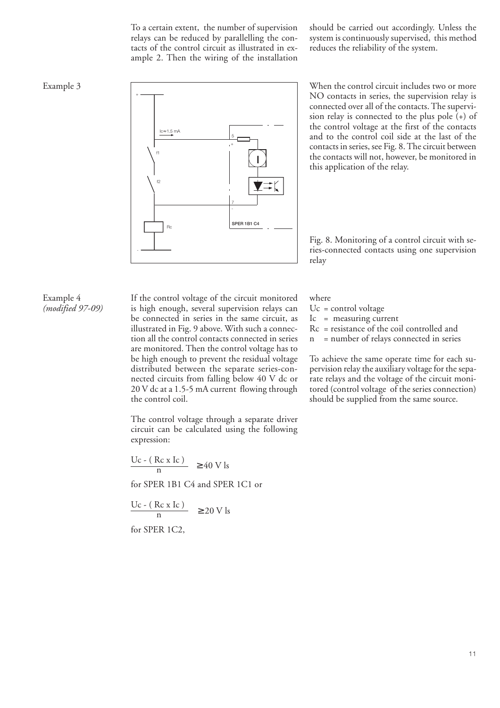To a certain extent, the number of supervision relays can be reduced by parallelling the contacts of the control circuit as illustrated in example 2. Then the wiring of the installation should be carried out accordingly. Unless the system is continuously supervised, this method reduces the reliability of the system.



NO contacts in series, the supervision relay is connected over all of the contacts. The supervision relay is connected to the plus pole  $(+)$  of the control voltage at the first of the contacts and to the control coil side at the last of the contacts in series, see Fig. 8. The circuit between the contacts will not, however, be monitored in this application of the relay.

Fig. 8. Monitoring of a control circuit with series-connected contacts using one supervision relay

#### Example 4 *(modified 97-09)*

If the control voltage of the circuit monitored is high enough, several supervision relays can be connected in series in the same circuit, as illustrated in Fig. 9 above. With such a connection all the control contacts connected in series are monitored. Then the control voltage has to be high enough to prevent the residual voltage distributed between the separate series-connected circuits from falling below 40 V dc or 20 V dc at a 1.5-5 mA current flowing through the control coil.

The control voltage through a separate driver circuit can be calculated using the following expression:

$$
\frac{\text{Uc} - (\text{Rc x Ic})}{n} \ge 40 \text{ V ls}
$$

for SPER 1B1 C4 and SPER 1C1 or

$$
\frac{\text{Uc} - (\text{Rc x Ic})}{n} \ge 20 \text{ V ls}
$$

for SPER 1C2,

where

- $Uc = control voltage$
- Ic = measuring current
- Rc = resistance of the coil controlled and
- n = number of relays connected in series

To achieve the same operate time for each supervision relay the auxiliary voltage for the separate relays and the voltage of the circuit monitored (control voltage of the series connection) should be supplied from the same source.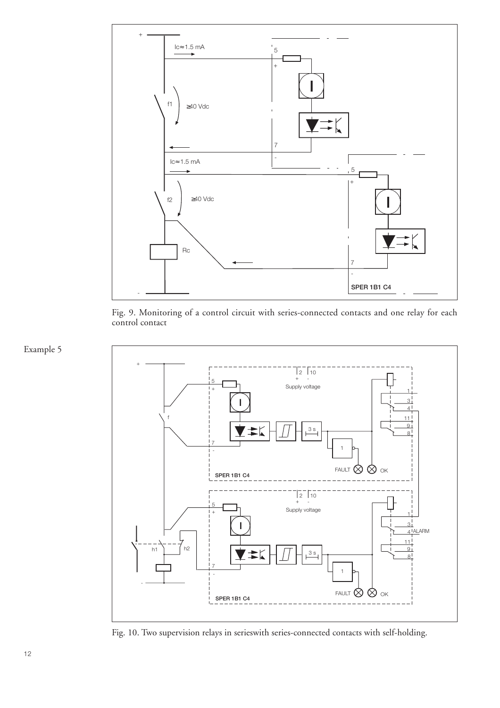

Fig. 9. Monitoring of a control circuit with series-connected contacts and one relay for each control contact



Fig. 10. Two supervision relays in serieswith series-connected contacts with self-holding.

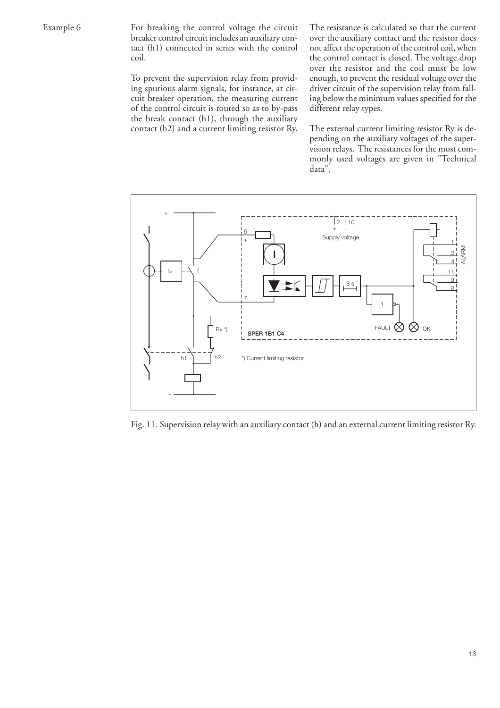For breaking the control voltage the circuit breaker control circuit includes an auxiliary contact (h1) connected in series with the control coil.

To prevent the supervision relay from providing spurious alarm signals, for instance, at circuit breaker operation, the measuring current of the control circuit is routed so as to by-pass the break contact (h1), through the auxiliary contact (h2) and a current limiting resistor Ry. The resistance is calculated so that the current over the auxiliary contact and the resistor does not affect the operation of the control coil, when the control contact is closed. The voltage drop over the resistor and the coil must be low enough, to prevent the residual voltage over the driver circuit of the supervision relay from falling below the minimum values specified for the different relay types.

The external current limiting resistor Ry is depending on the auxiliary voltages of the supervision relays. The resistances for the most commonly used voltages are given in "Technical data".



Fig. 11. Supervision relay with an auxiliary contact (h) and an external current limiting resistor Ry.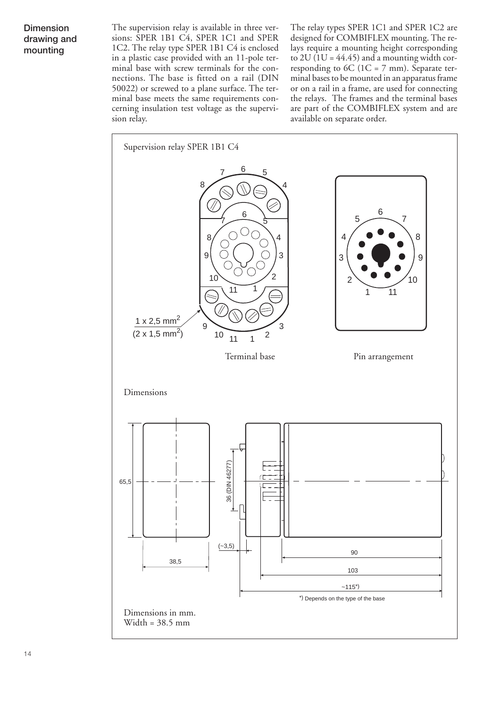### **Dimension drawing and mounting**

The supervision relay is available in three versions: SPER 1B1 C4, SPER 1C1 and SPER 1C2. The relay type SPER 1B1 C4 is enclosed in a plastic case provided with an 11-pole terminal base with screw terminals for the connections. The base is fitted on a rail (DIN 50022) or screwed to a plane surface. The terminal base meets the same requirements concerning insulation test voltage as the supervision relay.

The relay types SPER 1C1 and SPER 1C2 are designed for COMBIFLEX mounting. The relays require a mounting height corresponding to  $2U(1U = 44.45)$  and a mounting width corresponding to 6C (1C = 7 mm). Separate terminal bases to be mounted in an apparatus frame or on a rail in a frame, are used for connecting the relays. The frames and the terminal bases are part of the COMBIFLEX system and are available on separate order.

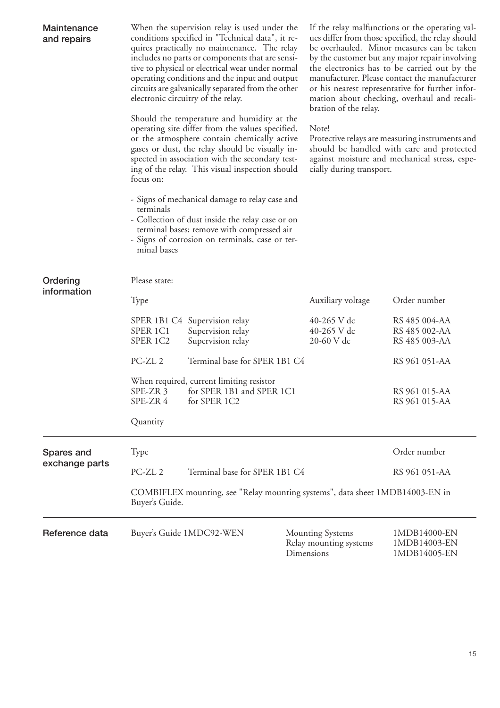| Maintenance<br>and repairs | When the supervision relay is used under the<br>conditions specified in "Technical data", it re-<br>quires practically no maintenance. The relay<br>includes no parts or components that are sensi-<br>tive to physical or electrical wear under normal<br>operating conditions and the input and output<br>circuits are galvanically separated from the other<br>electronic circuitry of the relay. |                                                                                                                                                                                                     |                                                                                                                                                                                    | If the relay malfunctions or the operating val-<br>ues differ from those specified, the relay should<br>be overhauled. Minor measures can be taken<br>by the customer but any major repair involving<br>the electronics has to be carried out by the<br>manufacturer. Please contact the manufacturer<br>or his nearest representative for further infor-<br>mation about checking, overhaul and recali-<br>bration of the relay. |                                                 |  |
|----------------------------|------------------------------------------------------------------------------------------------------------------------------------------------------------------------------------------------------------------------------------------------------------------------------------------------------------------------------------------------------------------------------------------------------|-----------------------------------------------------------------------------------------------------------------------------------------------------------------------------------------------------|------------------------------------------------------------------------------------------------------------------------------------------------------------------------------------|-----------------------------------------------------------------------------------------------------------------------------------------------------------------------------------------------------------------------------------------------------------------------------------------------------------------------------------------------------------------------------------------------------------------------------------|-------------------------------------------------|--|
|                            | Should the temperature and humidity at the<br>operating site differ from the values specified,<br>or the atmosphere contain chemically active<br>gases or dust, the relay should be visually in-<br>spected in association with the secondary test-<br>ing of the relay. This visual inspection should<br>focus on:                                                                                  |                                                                                                                                                                                                     | Note!<br>Protective relays are measuring instruments and<br>should be handled with care and protected<br>against moisture and mechanical stress, espe-<br>cially during transport. |                                                                                                                                                                                                                                                                                                                                                                                                                                   |                                                 |  |
|                            | terminals<br>minal bases                                                                                                                                                                                                                                                                                                                                                                             | - Signs of mechanical damage to relay case and<br>- Collection of dust inside the relay case or on<br>terminal bases; remove with compressed air<br>- Signs of corrosion on terminals, case or ter- |                                                                                                                                                                                    |                                                                                                                                                                                                                                                                                                                                                                                                                                   |                                                 |  |
| Ordering                   | Please state:                                                                                                                                                                                                                                                                                                                                                                                        |                                                                                                                                                                                                     |                                                                                                                                                                                    |                                                                                                                                                                                                                                                                                                                                                                                                                                   |                                                 |  |
| information                | Type                                                                                                                                                                                                                                                                                                                                                                                                 |                                                                                                                                                                                                     |                                                                                                                                                                                    | Auxiliary voltage                                                                                                                                                                                                                                                                                                                                                                                                                 | Order number                                    |  |
|                            | SPER 1C1<br>SPER 1C2                                                                                                                                                                                                                                                                                                                                                                                 | SPER 1B1 C4 Supervision relay<br>Supervision relay<br>Supervision relay                                                                                                                             |                                                                                                                                                                                    | 40-265 V dc<br>40-265 V dc<br>20-60 V dc                                                                                                                                                                                                                                                                                                                                                                                          | RS 485 004-AA<br>RS 485 002-AA<br>RS 485 003-AA |  |
|                            | PC-ZL <sub>2</sub>                                                                                                                                                                                                                                                                                                                                                                                   | Terminal base for SPER 1B1 C4                                                                                                                                                                       |                                                                                                                                                                                    |                                                                                                                                                                                                                                                                                                                                                                                                                                   | RS 961 051-AA                                   |  |
|                            | SPE-ZR 3<br>SPE-ZR 4<br>Quantity                                                                                                                                                                                                                                                                                                                                                                     | When required, current limiting resistor<br>for SPER 1B1 and SPER 1C1<br>for SPER 1C2                                                                                                               |                                                                                                                                                                                    |                                                                                                                                                                                                                                                                                                                                                                                                                                   | RS 961 015-AA<br>RS 961 015-AA                  |  |
| Spares and                 | Type                                                                                                                                                                                                                                                                                                                                                                                                 |                                                                                                                                                                                                     |                                                                                                                                                                                    |                                                                                                                                                                                                                                                                                                                                                                                                                                   | Order number                                    |  |
| exchange parts             | PC-ZL <sub>2</sub><br>Terminal base for SPER 1B1 C4                                                                                                                                                                                                                                                                                                                                                  |                                                                                                                                                                                                     |                                                                                                                                                                                    | RS 961 051-AA                                                                                                                                                                                                                                                                                                                                                                                                                     |                                                 |  |
|                            | COMBIFLEX mounting, see "Relay mounting systems", data sheet 1MDB14003-EN in<br>Buyer's Guide.                                                                                                                                                                                                                                                                                                       |                                                                                                                                                                                                     |                                                                                                                                                                                    |                                                                                                                                                                                                                                                                                                                                                                                                                                   |                                                 |  |
| Reference data             |                                                                                                                                                                                                                                                                                                                                                                                                      | Buyer's Guide 1MDC92-WEN                                                                                                                                                                            |                                                                                                                                                                                    | <b>Mounting Systems</b><br>Relay mounting systems<br>Dimensions                                                                                                                                                                                                                                                                                                                                                                   | 1MDB14000-EN<br>1MDB14003-EN<br>1MDB14005-EN    |  |